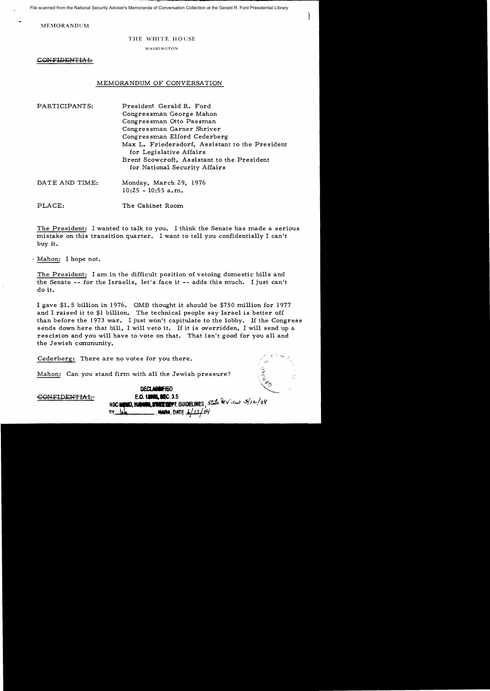File scanned from the National Security Adviser's Memoranda of Conversation Collection at the Gerald R. Ford Presidential Library

MEMORANDUM

## THE WHITE HOUSE

WASHINGTON

CONFIDENTIAL

## MEMORANDUM OF CONVERSATION

| PARTICIPANTS:  | President Gerald R. Ford                                                     |
|----------------|------------------------------------------------------------------------------|
|                | Congressman George Mahon                                                     |
|                | Congressman Otto Passman                                                     |
|                | Congressman Garner Shriver                                                   |
|                | Congressman Elford Cederberg                                                 |
|                | Max L. Friedersdorf, Assistant to the President<br>for Legislative Affairs   |
|                | Brent Scowcroft, Assistant to the President<br>for National Security Affairs |
| DATE AND TIME: | Monday, March 29, 1976<br>$10:25 - 10:55$ a.m.                               |
| PLACE:         | The Cabinet Room                                                             |

The President: I wanted to talk to you. I think the Senate has made a serious mistake on this transition quarter. I want to tell you confidentially I can't buy it.

. Mahon: I hope not.

The President: I am in the difficult position of vetoing domestic bills and the Senate -- for the Israelis, let's face it -- adds this much. I just can't do it.

I gave \$1. 5 billion in 1976. OMB thought it should be \$750 million for 1977 and I raised it to \$1 billion. The technical people say Israel is better off than before the 1973 war. I just won't capitulate to the lobby. If the Congress sends down here that bill, I will veto it. If it is overridden, I will send up a rescision and you will have to vote on that. That isn't good for you all and the Jewish community.

E.O. 12000, SEC. 3.5<br>**EMO, MANNO, STATE COPPT**. GUIDELINES, Stati devicus 3/12/04

**NARA.** DATE 6/11/04

Cederberg: There are no votes for you there.

Mahon: Can you stand firm with all the Jewish pressure?

DECLARANTIED **E.O. 12060. BEC. 3.5**  ..-

-GONFIDENTI:AL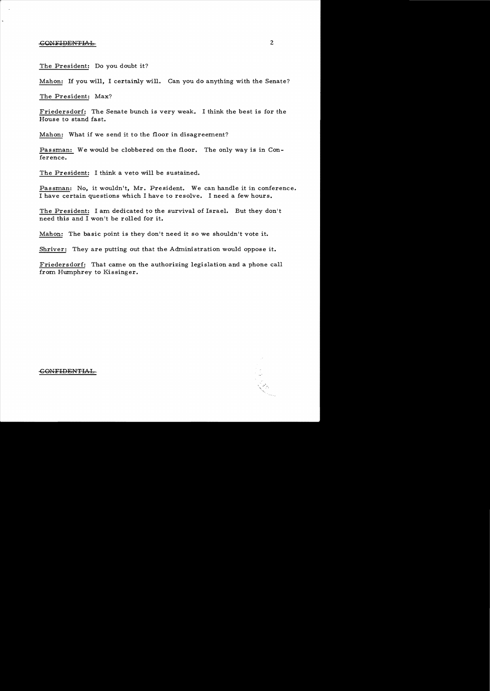## -GOlNFIDEiNTIL'...L- 2

 $\ddot{\phantom{0}}$ 

The President: Do you doubt it?

Mahon: If you will, I certainly will. Can you do anything with the Senate?

The President: Max?

Friedersdorf: The Senate bunch is very weak. I think the best is for the House to stand fast.

Mahon: What if we send it to the floor in disagreement?

Passman: We would be clobbered on the floor. The only way is in Conference.

The President: I think a veto will be sustained.

Passman: No, it wouldn't, Mr. President. We can handle it in conference. I have certain questions which I have to resolve. I need a few hours.

The President: I am dedicated to the survival of Israel. But they don't need this and I won't be rolled for it.

Mahon: The basic point is they don't need it so we shouldn't vote it.

Shriver: They are putting out that the Administration would oppose it.

Friedersdorf: That came on the authorizing legislation and a phone call from Humphrey to Kissinger.



## GONFIDENTIAL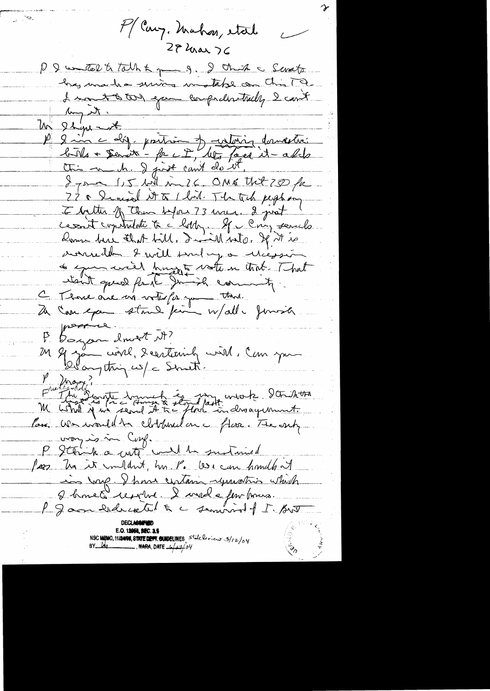$\geq \tau^2$ P/ Cary. Mahon, etal  $\overline{\phantom{a}}$  $27$  har  $76$ P & watch to talk to get g. I think a Swatz has made suiva motable con Chin 19. I want to too exce comprehentally I can't by the Un 21 ju <del>est en 10 partir de 19 de 19 avrilles</del> I your 15 hil mil6. ONE that 250 fr 22 & Sinised it to 1 lost. The tech peopleon I butter of Them before 73 mais. 2 just ce soit copitation à c'horry et comparado avanceden & will somby a Microson of commercial hungar vote en tract. That itsult qued fort Junioh commity. C Those are no voter for you think porre. P. Dorgeon down't M? M 9 jan civil, 2 certainly with, Can you May 2 Frederald water dramed 2 dans work dans 15 milion Pass. We would't clothouten Mar. The only uron is in Conf. P Stank a cuto will be sustained for he it multut, ha P. We can handle it in long. I have certain remotion which 2 kme d'respon. I med a pour pours P Jam hedredt & c seminal f I Brot NSC MEMO, 11/24/98, STATE DEPT. GUIDELINES, State leview 3/12/04<br>BY 201